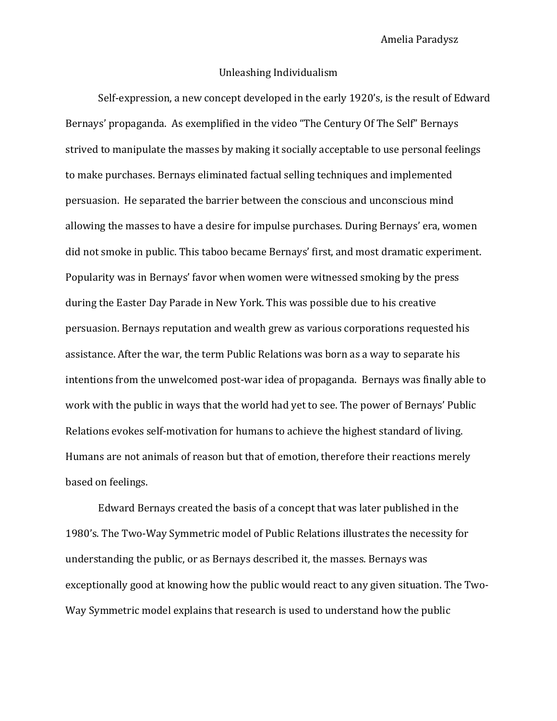## Unleashing Individualism

Self-expression, a new concept developed in the early 1920's, is the result of Edward Bernays' propaganda. As exemplified in the video "The Century Of The Self" Bernays strived to manipulate the masses by making it socially acceptable to use personal feelings to make purchases. Bernays eliminated factual selling techniques and implemented persuasion. He separated the barrier between the conscious and unconscious mind allowing the masses to have a desire for impulse purchases. During Bernays' era, women did not smoke in public. This taboo became Bernays' first, and most dramatic experiment. Popularity was in Bernays' favor when women were witnessed smoking by the press during the Easter Day Parade in New York. This was possible due to his creative persuasion. Bernays reputation and wealth grew as various corporations requested his assistance. After the war, the term Public Relations was born as a way to separate his intentions from the unwelcomed post-war idea of propaganda. Bernays was finally able to work with the public in ways that the world had yet to see. The power of Bernays' Public Relations evokes self-motivation for humans to achieve the highest standard of living. Humans are not animals of reason but that of emotion, therefore their reactions merely based on feelings.

Edward Bernays created the basis of a concept that was later published in the 1980's. The Two-Way Symmetric model of Public Relations illustrates the necessity for understanding the public, or as Bernays described it, the masses. Bernays was exceptionally good at knowing how the public would react to any given situation. The Two-Way Symmetric model explains that research is used to understand how the public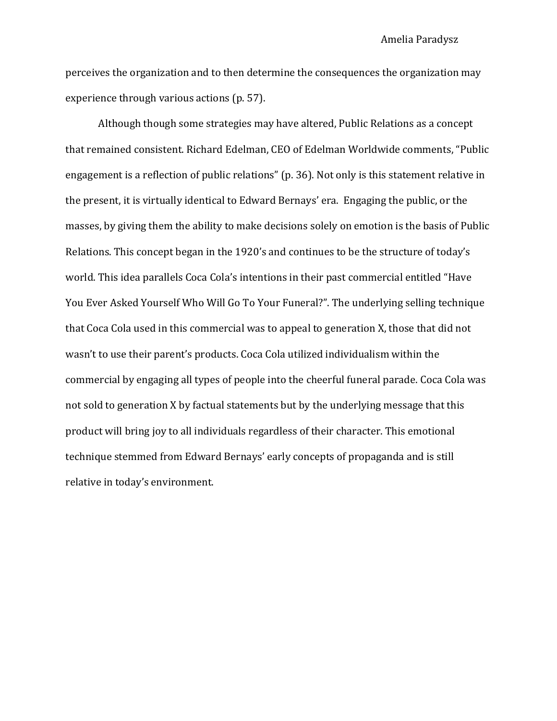perceives the organization and to then determine the consequences the organization may experience through various actions (p. 57).

Although though some strategies may have altered, Public Relations as a concept that remained consistent. Richard Edelman, CEO of Edelman Worldwide comments, "Public engagement is a reflection of public relations" (p. 36). Not only is this statement relative in the present, it is virtually identical to Edward Bernays' era. Engaging the public, or the masses, by giving them the ability to make decisions solely on emotion is the basis of Public Relations. This concept began in the 1920's and continues to be the structure of today's world. This idea parallels Coca Cola's intentions in their past commercial entitled "Have You Ever Asked Yourself Who Will Go To Your Funeral?". The underlying selling technique that Coca Cola used in this commercial was to appeal to generation X, those that did not wasn't to use their parent's products. Coca Cola utilized individualism within the commercial by engaging all types of people into the cheerful funeral parade. Coca Cola was not sold to generation X by factual statements but by the underlying message that this product will bring joy to all individuals regardless of their character. This emotional technique stemmed from Edward Bernays' early concepts of propaganda and is still relative in today's environment.